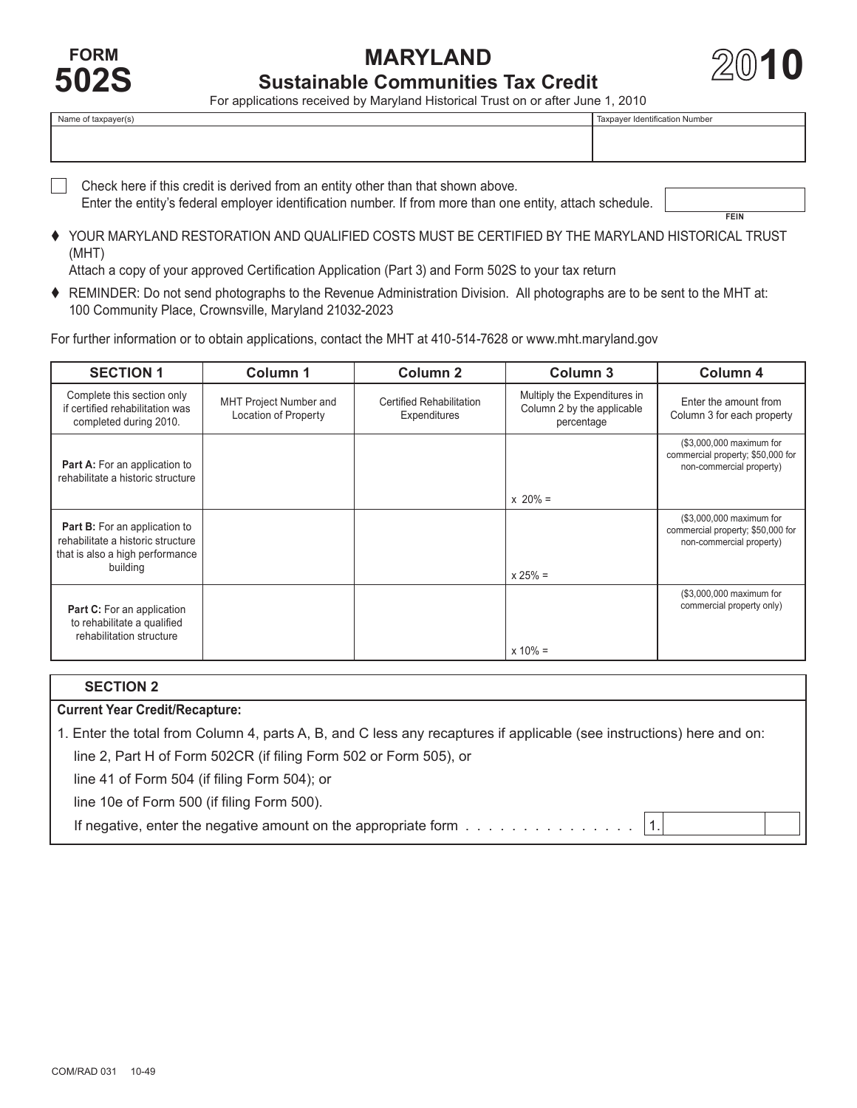COM/RAD 031 10-49

**1010**<br> **10 For an Instant Sustainable Communities Tax Credit**<br> **102S Exampled by Marked Historical Trust on or after lune 1–2010** 

For applications received by Maryland Historical Trust on or after June 1, 2010

| Name of taxpayer(s) | Taxpayer Identification Number |
|---------------------|--------------------------------|
|                     |                                |
|                     |                                |
|                     |                                |
|                     |                                |

□ Check here if this credit is derived from an entity other than that shown above. Enter the entity's federal employer identification number. If from more than one entity, attach schedule.

**FEIN**

 YOUR MARYLAND RESTORATION AND QUALIFIED COSTS MUST BE CERTIFIED BY THE MARYLAND HISTORICAL TRUST (MHT)

Attach a copy of your approved Certification Application (Part 3) and Form 502S to your tax return

 REMINDER: Do not send photographs to the Revenue Administration Division. All photographs are to be sent to the MHT at: 100 Community Place, Crownsville, Maryland 21032-2023

For further information or to obtain applications, contact the MHT at 410-514-7628 or<www.mht.maryland.gov>

| <b>SECTION 1</b>                                                                                             | Column 1                                              | <b>Column 2</b>                                 | Column <sub>3</sub>                                                      | Column 4                                                                                  |
|--------------------------------------------------------------------------------------------------------------|-------------------------------------------------------|-------------------------------------------------|--------------------------------------------------------------------------|-------------------------------------------------------------------------------------------|
| Complete this section only<br>if certified rehabilitation was<br>completed during 2010.                      | <b>MHT Project Number and</b><br>Location of Property | <b>Certified Rehabilitation</b><br>Expenditures | Multiply the Expenditures in<br>Column 2 by the applicable<br>percentage | Enter the amount from<br>Column 3 for each property                                       |
| <b>Part A:</b> For an application to<br>rehabilitate a historic structure                                    |                                                       |                                                 |                                                                          | (\$3,000,000 maximum for<br>commercial property; \$50,000 for<br>non-commercial property) |
|                                                                                                              |                                                       |                                                 | $x 20% =$                                                                |                                                                                           |
| <b>Part B:</b> For an application to<br>rehabilitate a historic structure<br>that is also a high performance |                                                       |                                                 |                                                                          | (\$3,000,000 maximum for<br>commercial property; \$50,000 for<br>non-commercial property) |
| building                                                                                                     |                                                       |                                                 | $x 25% =$                                                                |                                                                                           |
| <b>Part C:</b> For an application<br>to rehabilitate a qualified<br>rehabilitation structure                 |                                                       |                                                 |                                                                          | (\$3,000,000 maximum for<br>commercial property only)                                     |
|                                                                                                              |                                                       |                                                 | $x 10\% =$                                                               |                                                                                           |

## **Current Year Credit/Recapture: SECTION 2** 1. Enter the total from Column 4, parts A, B, and C less any recaptures if applicable (see instructions) here and on: line 2, Part H of Form 502CR (if filing Form 502 or Form 505), or line 41 of Form 504 (if filing Form 504); or line 10e of Form 500 (if filing Form 500).

If negative, enter the negative amount on the appropriate form  $\dots \dots \dots \dots$ 

 $\overline{1}$ .